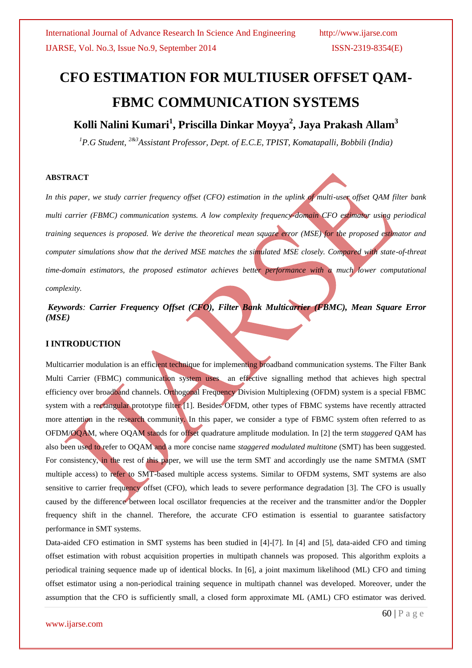# **CFO ESTIMATION FOR MULTIUSER OFFSET QAM-FBMC COMMUNICATION SYSTEMS**

# **Kolli Nalini Kumari<sup>1</sup> , Priscilla Dinkar Moyya 2 , Jaya Prakash Allam<sup>3</sup>**

*<sup>1</sup>P.G Student, 2&3Assistant Professor, Dept. of E.C.E, TPIST, Komatapalli, Bobbili (India)*

#### **ABSTRACT**

*In this paper, we study carrier frequency offset (CFO) estimation in the uplink of multi-user offset QAM filter bank multi carrier (FBMC) communication systems. A low complexity frequency-domain CFO estimator using periodical training sequences is proposed. We derive the theoretical mean square error (MSE) for the proposed estimator and computer simulations show that the derived MSE matches the simulated MSE closely. Compared with state-of-threat time-domain estimators, the proposed estimator achieves better performance with a much lower computational complexity.*

*Keywords: Carrier Frequency Offset (CFO), Filter Bank Multicarrier (FBMC), Mean Square Error (MSE)*

### **I INTRODUCTION**

Multicarrier modulation is an efficient technique for implementing broadband communication systems. The Filter Bank Multi Carrier (FBMC) communication system uses an effective signalling method that achieves high spectral efficiency over broadband channels. Orthogonal Frequency Division Multiplexing (OFDM) system is a special FBMC system with a rectangular prototype filter [1]. Besides OFDM, other types of FBMC systems have recently attracted more attention in the research community. In this paper, we consider a type of FBMC system often referred to as OFDM/OQAM, where OQAM stands for offset quadrature amplitude modulation. In [2] the term *staggered* QAM has also been used to refer to OQAM and a more concise name *staggered modulated multitone* (SMT) has been suggested. For consistency, in the rest of this paper, we will use the term SMT and accordingly use the name SMTMA (SMT multiple access) to refer to SMT-based multiple access systems. Similar to OFDM systems, SMT systems are also sensitive to carrier frequency offset (CFO), which leads to severe performance degradation [3]. The CFO is usually caused by the difference between local oscillator frequencies at the receiver and the transmitter and/or the Doppler frequency shift in the channel. Therefore, the accurate CFO estimation is essential to guarantee satisfactory performance in SMT systems.

Data-aided CFO estimation in SMT systems has been studied in [4]-[7]. In [4] and [5], data-aided CFO and timing offset estimation with robust acquisition properties in multipath channels was proposed. This algorithm exploits a periodical training sequence made up of identical blocks. In [6], a joint maximum likelihood (ML) CFO and timing offset estimator using a non-periodical training sequence in multipath channel was developed. Moreover, under the assumption that the CFO is sufficiently small, a closed form approximate ML (AML) CFO estimator was derived.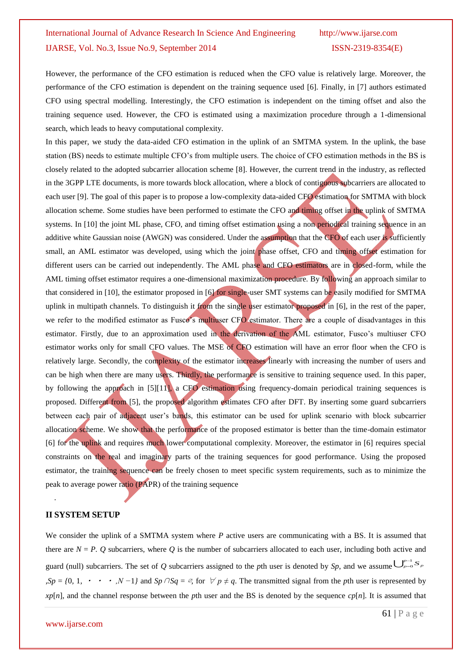However, the performance of the CFO estimation is reduced when the CFO value is relatively large. Moreover, the performance of the CFO estimation is dependent on the training sequence used [6]. Finally, in [7] authors estimated CFO using spectral modelling. Interestingly, the CFO estimation is independent on the timing offset and also the training sequence used. However, the CFO is estimated using a maximization procedure through a 1-dimensional search, which leads to heavy computational complexity.

In this paper, we study the data-aided CFO estimation in the uplink of an SMTMA system. In the uplink, the base station (BS) needs to estimate multiple CFO's from multiple users. The choice of CFO estimation methods in the BS is closely related to the adopted subcarrier allocation scheme [8]. However, the current trend in the industry, as reflected in the 3GPP LTE documents, is more towards block allocation, where a block of contiguous subcarriers are allocated to each user [9]. The goal of this paper is to propose a low-complexity data-aided CFO estimation for SMTMA with block allocation scheme. Some studies have been performed to estimate the CFO and timing offset in the uplink of SMTMA systems. In [10] the joint ML phase, CFO, and timing offset estimation using a non periodical training sequence in an additive white Gaussian noise (AWGN) was considered. Under the assumption that the CFO of each user is sufficiently small, an AML estimator was developed, using which the joint phase offset, CFO and timing offset estimation for different users can be carried out independently. The AML phase and CFO estimators are in closed-form, while the AML timing offset estimator requires a one-dimensional maximization procedure. By following an approach similar to that considered in [10], the estimator proposed in [6] for single-user SMT systems can be easily modified for SMTMA uplink in multipath channels. To distinguish it from the single user estimator proposed in [6], in the rest of the paper, we refer to the modified estimator as Fusco's multiuser CFO estimator. There are a couple of disadvantages in this estimator. Firstly, due to an approximation used in the derivation of the AML estimator, Fusco's multiuser CFO estimator works only for small CFO values. The MSE of CFO estimation will have an error floor when the CFO is relatively large. Secondly, the complexity of the estimator increases linearly with increasing the number of users and can be high when there are many users. Thirdly, the performance is sensitive to training sequence used. In this paper, by following the approach in [5][11], a CFO estimation using frequency-domain periodical training sequences is proposed. Different from [5], the proposed algorithm estimates CFO after DFT. By inserting some guard subcarriers between each pair of adjacent user's bands, this estimator can be used for uplink scenario with block subcarrier allocation scheme. We show that the performance of the proposed estimator is better than the time-domain estimator [6] for the uplink and requires much lower computational complexity. Moreover, the estimator in [6] requires special constraints on the real and imaginary parts of the training sequences for good performance. Using the proposed estimator, the training sequence can be freely chosen to meet specific system requirements, such as to minimize the peak to average power ratio (PAPR) of the training sequence

#### **II SYSTEM SETUP**

.

We consider the uplink of a SMTMA system where *P* active users are communicating with a BS. It is assumed that there are  $N = P$ . Q subcarriers, where Q is the number of subcarriers allocated to each user, including both active and guard (null) subcarriers. The set of *Q* subcarriers assigned to the *p*th user is denoted by *Sp*, and we assume  $\bigcup_{p=0}^{p-1} S_p$  $\mathcal{I}(\mathcal{S}_p) = \{0, 1, \cdots, N-1\}$  and  $\mathcal{I}(\mathcal{S}_p) = \emptyset$ , for  $\forall p \neq q$ . The transmitted signal from the *p*th user is represented by  $xp[n]$ , and the channel response between the *p*th user and the BS is denoted by the sequence  $cp[n]$ . It is assumed that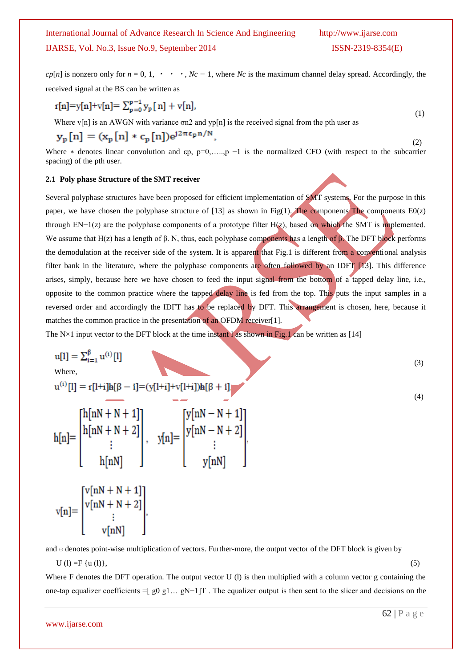# International Journal of Advance Research In Science And Engineering http://www.ijarse.com

(2)

(4)

## IJARSE, Vol. No.3, Issue No.9, September 2014 ISSN-2319-8354(E)

*cp*[*n*] is nonzero only for  $n = 0, 1, \cdots, Nc - 1$ , where *Nc* is the maximum channel delay spread. Accordingly, the received signal at the BS can be written as

$$
r[n]=y[n]+v[n]=\sum_{p=0}^{p-1}y_p[n]+v[n],
$$
\n(1)

Where  $v[n]$  is an AWGN with variance  $\sigma n2$  and  $v[p[n]$  is the received signal from the pth user as

$$
y_p[n] = (x_p[n] * c_p[n])e^{j2\pi\epsilon_p n/N},
$$

Where  $*$  denotes linear convolution and  $\varepsilon p$ ,  $p=0,...,p-1$  is the normalized CFO (with respect to the subcarrier spacing) of the pth user.

#### **2.1 Poly phase Structure of the SMT receiver**

Several polyphase structures have been proposed for efficient implementation of SMT systems. For the purpose in this paper, we have chosen the polyphase structure of [13] as shown in Fig(1). The components The components  $E0(z)$ through EN−1(z) are the polyphase components of a prototype filter H(z), based on which the SMT is implemented. We assume that H(z) has a length of  $\beta$ . N, thus, each polyphase components has a length of  $\beta$ . The DFT block performs the demodulation at the receiver side of the system. It is apparent that Fig.1 is different from a conventional analysis filter bank in the literature, where the polyphase components are often followed by an IDFT [13]. This difference arises, simply, because here we have chosen to feed the input signal from the bottom of a tapped delay line, i.e., opposite to the common practice where the tapped delay line is fed from the top. This puts the input samples in a reversed order and accordingly the IDFT has to be replaced by DFT. This arrangement is chosen, here, because it matches the common practice in the presentation of an OFDM receiver[1].

The N $\times$ 1 input vector to the DFT block at the time instant I as shown in Fig.1 can be written as [14]

$$
\mathbf{u}[l] = \sum_{i=1}^{\beta} \mathbf{u}^{(i)}[l] \tag{3}
$$
\nWhere,

$$
u^{(i)}[1] = r[1+i]h[\beta - i] = (y[1+i]+v[1+i])h[\beta + i]
$$

$$
h[n] = \begin{bmatrix} h[nN + N + 1] \\ h[nN + N + 2] \\ \vdots \\ h[nN] \end{bmatrix}, \quad y[n] = \begin{bmatrix} y[nN - N + 1] \\ y[nN - N + 2] \\ \vdots \\ y[nN] \end{bmatrix}
$$

$$
v[n] = \begin{bmatrix} v[nN + N + 1] \\ v[nN + N + 2] \\ \vdots \\ v[nN] \end{bmatrix},
$$

and  $\circ$  denotes point-wise multiplication of vectors. Further-more, the output vector of the DFT block is given by

$$
U(l) = F\{u(l)\},\tag{5}
$$

Where F denotes the DFT operation. The output vector U (1) is then multiplied with a column vector g containing the one-tap equalizer coefficients =[ g0 g1… gN−1]T . The equalizer output is then sent to the slicer and decisions on the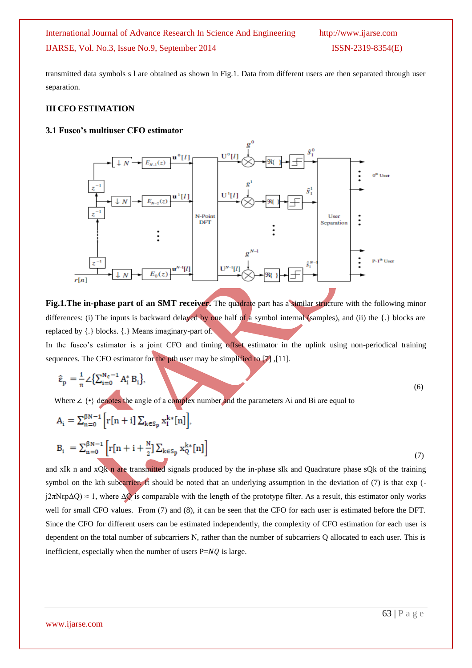# International Journal of Advance Research In Science And Engineering http://www.ijarse.com

### IJARSE, Vol. No.3, Issue No.9, September 2014 ISSN-2319-8354(E)

transmitted data symbols s l are obtained as shown in Fig.1. Data from different users are then separated through user separation.

### **III CFO ESTIMATION**

#### **3.1 Fusco's multiuser CFO estimator**



**Fig.1.The in-phase part of an SMT receiver.** The quadrate part has a similar structure with the following minor differences: (i) The inputs is backward delayed by one half of a symbol internal (samples), and (ii) the  $\{\cdot\}$  blocks are replaced by {.} blocks. {.} Means imaginary-part of.

In the fusco's estimator is a joint CFO and timing offset estimator in the uplink using non-periodical training sequences. The CFO estimator for the pth user may be simplified to [7] ,[11].

$$
\hat{\epsilon}_p = \frac{1}{\pi} \angle \{ \Sigma_{i=0}^{N_c - 1} A_i^* B_i \},
$$
\n(6)

Where ∠ {•} denotes the angle of a complex number and the parameters Ai and Bi are equal to

$$
A_{i} = \sum_{n=0}^{\beta N - 1} \left[ r[n + i] \sum_{k \in S_{p}} x_{i}^{k*}[n] \right],
$$
  
\n
$$
B_{i} = \sum_{n=0}^{\beta N - 1} \left[ r[n + i + \frac{N}{2}] \sum_{k \in S_{p}} x_{Q}^{k*}[n] \right]
$$
 (7)

(7)

and xIk n and xQk n are transmitted signals produced by the in-phase sIk and Quadrature phase sQk of the training symbol on the kth subcarrier. It should be noted that an underlying assumption in the deviation of (7) is that  $\exp(-\epsilon)$  $j2πNεpΔQ) \approx 1$ , where  $ΔQ$  is comparable with the length of the prototype filter. As a result, this estimator only works well for small CFO values. From (7) and (8), it can be seen that the CFO for each user is estimated before the DFT. Since the CFO for different users can be estimated independently, the complexity of CFO estimation for each user is dependent on the total number of subcarriers N, rather than the number of subcarriers Q allocated to each user. This is inefficient, especially when the number of users  $P = NQ$  is large.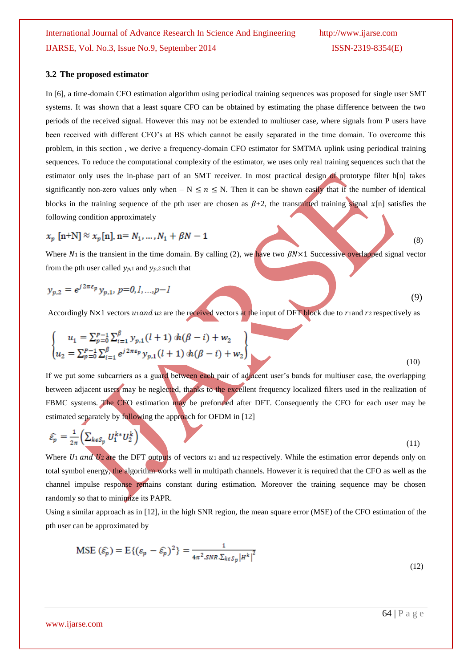#### **3.2 The proposed estimator**

In [6], a time-domain CFO estimation algorithm using periodical training sequences was proposed for single user SMT systems. It was shown that a least square CFO can be obtained by estimating the phase difference between the two periods of the received signal. However this may not be extended to multiuser case, where signals from P users have been received with different CFO's at BS which cannot be easily separated in the time domain. To overcome this problem, in this section , we derive a frequency-domain CFO estimator for SMTMA uplink using periodical training sequences. To reduce the computational complexity of the estimator, we uses only real training sequences such that the estimator only uses the in-phase part of an SMT receiver. In most practical design of prototype filter h[n] takes significantly non-zero values only when –  $N \le n \le N$ . Then it can be shown easily that if the number of identical blocks in the training sequence of the pth user are chosen as  $\beta+2$ , the transmitted training signal  $x[n]$  satisfies the following condition approximately

# (8)

Where  $N_1$  is the transient in the time domain. By calling (2), we have two  $\beta N \times 1$  Successive overlapped signal vector from the pth user called  $y_{p,1}$  and  $y_{p,2}$  such that

$$
y_{p,2} = e^{j 2\pi \varepsilon_p} y_{p,1}, p=0,1,...,p-1
$$

Accordingly  $N\times 1$  vectors usand uz are the received vectors at the input of DFT block due to  $r$  and  $r_2$  respectively as

(9)

$$
\begin{cases}\nu_1 = \sum_{p=0}^{P-1} \sum_{i=1}^{\beta} y_{p,1}(l+1) \, d\theta(\beta - i) + w_2 \\
u_2 = \sum_{p=0}^{P-1} \sum_{i=1}^{\beta} e^{j2\pi\varepsilon_p} y_{p,1}(l+1) \, d\theta(\beta - i) + w_2\n\end{cases}
$$
\n(10)

If we put some subcarriers as a guard between each pair of adjacent user's bands for multiuser case, the overlapping between adjacent users may be neglected, thanks to the excellent frequency localized filters used in the realization of FBMC systems. The CFO estimation may be preformed after DFT. Consequently the CFO for each user may be estimated separately by following the approach for OFDM in [12]

$$
\widehat{\varepsilon_p} = \frac{1}{2\pi} \left( \sum_{k \in S_p} U_1^{k*} U_2^k \right) \tag{11}
$$

Where  $U_1$  and  $U_2$  are the DFT outputs of vectors  $u_1$  and  $u_2$  respectively. While the estimation error depends only on total symbol energy, the algorithm works well in multipath channels. However it is required that the CFO as well as the channel impulse response remains constant during estimation. Moreover the training sequence may be chosen randomly so that to minimize its PAPR.

Using a similar approach as in [12], in the high SNR region, the mean square error (MSE) of the CFO estimation of the pth user can be approximated by

$$
\text{MSE}\left(\hat{\varepsilon}_p\right) = \text{E}\left\{ \left(\varepsilon_p - \hat{\varepsilon}_p\right)^2 \right\} = \frac{1}{4\pi^2 \cdot \text{SNR} \cdot \Sigma_{k\epsilon} \left|\mathcal{S}_p\right|^{H^k}}\tag{12}
$$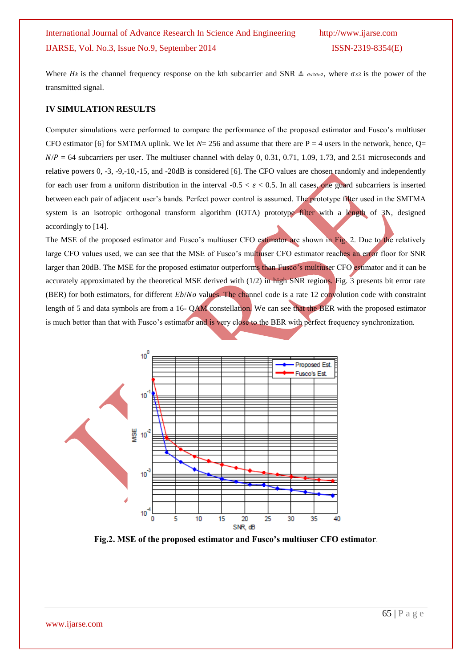Where H<sub>k</sub> is the channel frequency response on the kth subcarrier and SNR  $\triangleq \sigma s^2 \sigma^2$ , where  $\sigma s^2$  is the power of the transmitted signal.

### **IV SIMULATION RESULTS**

Computer simulations were performed to compare the performance of the proposed estimator and Fusco's multiuser CFO estimator [6] for SMTMA uplink. We let  $N=256$  and assume that there are  $P=4$  users in the network, hence,  $Q=$  $N/P = 64$  subcarriers per user. The multiuser channel with delay 0, 0.31, 0.71, 1.09, 1.73, and 2.51 microseconds and relative powers 0, -3, -9,-10,-15, and -20dB is considered [6]. The CFO values are chosen randomly and independently for each user from a uniform distribution in the interval  $-0.5 < \varepsilon < 0.5$ . In all cases, one guard subcarriers is inserted between each pair of adjacent user's bands. Perfect power control is assumed. The prototype filter used in the SMTMA system is an isotropic orthogonal transform algorithm (IOTA) prototype filter with a length of 3N, designed accordingly to [14].

The MSE of the proposed estimator and Fusco's multiuser CFO estimator are shown in Fig. 2. Due to the relatively large CFO values used, we can see that the MSE of Fusco's multiuser CFO estimator reaches an error floor for SNR larger than 20dB. The MSE for the proposed estimator outperforms than Fusco's multiuser CFO estimator and it can be accurately approximated by the theoretical MSE derived with (1/2) in high SNR regions. Fig. 3 presents bit error rate (BER) for both estimators, for different  $Eb/No$  values. The channel code is a rate 12 convolution code with constraint length of 5 and data symbols are from a 16- QAM constellation. We can see that the BER with the proposed estimator is much better than that with Fusco's estimator and is very close to the BER with perfect frequency synchronization.



**Fig.2. MSE of the proposed estimator and Fusco's multiuser CFO estimator**.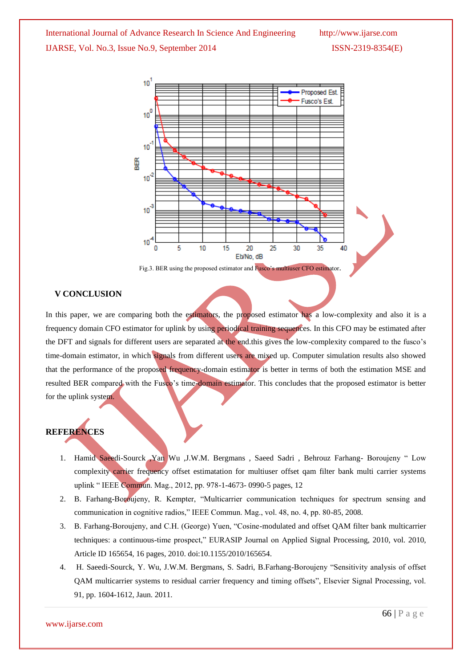



#### **V CONCLUSION**

In this paper, we are comparing both the estimators, the proposed estimator has a low-complexity and also it is a frequency domain CFO estimator for uplink by using periodical training sequences. In this CFO may be estimated after the DFT and signals for different users are separated at the end.this gives the low-complexity compared to the fusco's time-domain estimator, in which signals from different users are mixed up. Computer simulation results also showed that the performance of the proposed frequency-domain estimator is better in terms of both the estimation MSE and resulted BER compared with the Fusco's time-domain estimator. This concludes that the proposed estimator is better for the uplink system.

## **REFERENCES**

- 1. Hamid Saeedi-Sourck ,Yan Wu ,J.W.M. Bergmans , Saeed Sadri , Behrouz Farhang- Boroujeny " Low complexity carrier frequency offset estimatation for multiuser offset qam filter bank multi carrier systems uplink " IEEE Commun. Mag., 2012, pp. 978-1-4673- 0990-5 pages, 12
- 2. B. Farhang-Boroujeny, R. Kempter, "Multicarrier communication techniques for spectrum sensing and communication in cognitive radios," IEEE Commun. Mag., vol. 48, no. 4, pp. 80-85, 2008.
- 3. B. Farhang-Boroujeny, and C.H. (George) Yuen, "Cosine-modulated and offset QAM filter bank multicarrier techniques: a continuous-time prospect," EURASIP Journal on Applied Signal Processing, 2010, vol. 2010, Article ID 165654, 16 pages, 2010. doi:10.1155/2010/165654.
- 4. H. Saeedi-Sourck, Y. Wu, J.W.M. Bergmans, S. Sadri, B.Farhang-Boroujeny "Sensitivity analysis of offset QAM multicarrier systems to residual carrier frequency and timing offsets", Elsevier Signal Processing, vol. 91, pp. 1604-1612, Jaun. 2011.

www.ijarse.com